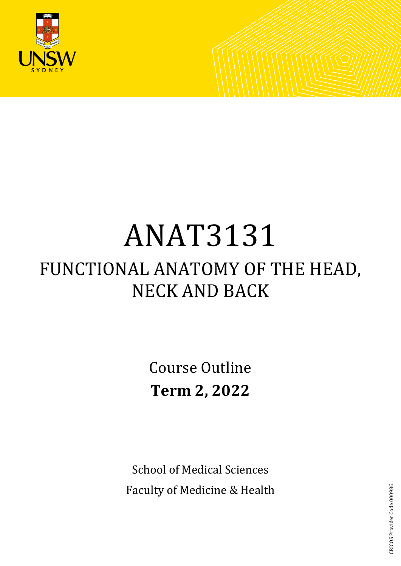

# ANAT3131 FUNCTIONAL ANATOMY OF THE HEAD, NECK AND BACK

Course Outline **Term 2, 2022**

School of Medical Sciences Faculty of Medicine & Health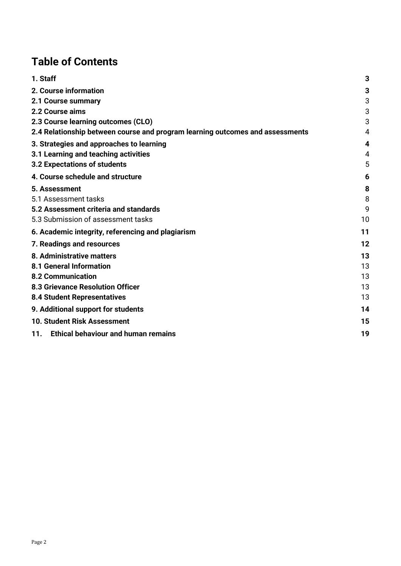# **Table of Contents**

| 1. Staff                                                                      | 3  |
|-------------------------------------------------------------------------------|----|
| 2. Course information                                                         | 3  |
| 2.1 Course summary                                                            | 3  |
| 2.2 Course aims                                                               | 3  |
| 2.3 Course learning outcomes (CLO)                                            | 3  |
| 2.4 Relationship between course and program learning outcomes and assessments | 4  |
| 3. Strategies and approaches to learning                                      | 4  |
| 3.1 Learning and teaching activities                                          | 4  |
| 3.2 Expectations of students                                                  | 5  |
| 4. Course schedule and structure                                              | 6  |
| 5. Assessment                                                                 | 8  |
| 5.1 Assessment tasks                                                          | 8  |
| 5.2 Assessment criteria and standards                                         | 9  |
| 5.3 Submission of assessment tasks                                            | 10 |
| 6. Academic integrity, referencing and plagiarism                             | 11 |
| 7. Readings and resources                                                     | 12 |
| 8. Administrative matters                                                     | 13 |
| <b>8.1 General Information</b>                                                | 13 |
| <b>8.2 Communication</b>                                                      | 13 |
| 8.3 Grievance Resolution Officer                                              | 13 |
| <b>8.4 Student Representatives</b>                                            | 13 |
| 9. Additional support for students                                            | 14 |
| <b>10. Student Risk Assessment</b>                                            | 15 |
| 11. Ethical behaviour and human remains                                       | 19 |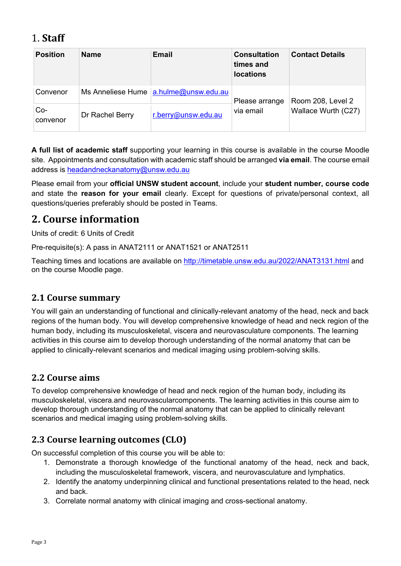# <span id="page-2-0"></span>1. **Staff**

| <b>Position</b> | <b>Name</b>     | <b>Email</b>                              | <b>Consultation</b><br>times and<br><b>locations</b> | <b>Contact Details</b> |
|-----------------|-----------------|-------------------------------------------|------------------------------------------------------|------------------------|
| Convenor        |                 | Ms Anneliese Hume $ $ a.hulme@unsw.edu.au | Please arrange                                       | Room 208, Level 2      |
| Co-<br>convenor | Dr Rachel Berry | r.berry@unsw.edu.au                       | via email                                            | Wallace Wurth (C27)    |

**A full list of academic staff** supporting your learning in this course is available in the course Moodle site.Appointments and consultation with academic staff should be arranged **via email**. The course email address is [headandneckanatomy@unsw.edu.au](mailto:headandneckanatomy@unsw.edu.au) 

Please email from your **official UNSW student account**, include your **student number, course code**  and state the **reason for your email** clearly. Except for questions of private/personal context, all questions/queries preferably should be posted in Teams*.* 

# <span id="page-2-1"></span>**2. Course information**

Units of credit: 6 Units of Credit

Pre-requisite(s): A pass in ANAT2111 or ANAT1521 or ANAT2511

Teaching times and locations are available on<http://timetable.unsw.edu.au/2022/ANAT3131.html> and on the course Moodle page.

### <span id="page-2-2"></span>**2.1 Course summary**

You will gain an understanding of functional and clinically-relevant anatomy of the head, neck and back regions of the human body. You will develop comprehensive knowledge of head and neck region of the human body, including its musculoskeletal, viscera and neurovasculature components. The learning activities in this course aim to develop thorough understanding of the normal anatomy that can be applied to clinically-relevant scenarios and medical imaging using problem-solving skills.

### <span id="page-2-3"></span>**2.2 Course aims**

To develop comprehensive knowledge of head and neck region of the human body, including its musculoskeletal, viscera.and neurovascularcomponents. The learning activities in this course aim to develop thorough understanding of the normal anatomy that can be applied to clinically relevant scenarios and medical imaging using problem-solving skills.

## <span id="page-2-4"></span>**2.3 Course learning outcomes (CLO)**

On successful completion of this course you will be able to:

- 1. Demonstrate a thorough knowledge of the functional anatomy of the head, neck and back, including the musculoskeletal framework, viscera, and neurovasculature and lymphatics.
- 2. Identify the anatomy underpinning clinical and functional presentations related to the head, neck and back.
- 3. Correlate normal anatomy with clinical imaging and cross-sectional anatomy.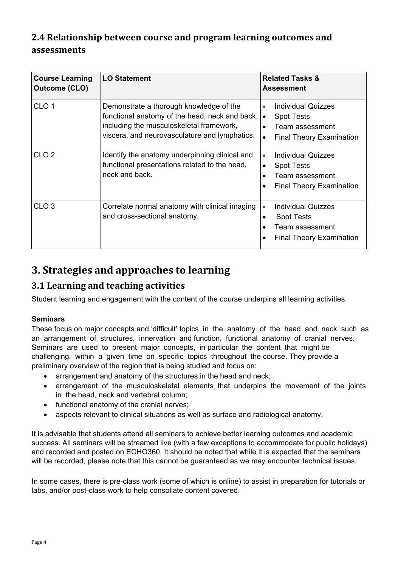# <span id="page-3-0"></span>**2.4 Relationship between course and program learning outcomes and assessments**

| <b>Course Learning</b><br><b>Outcome (CLO)</b> | <b>LO Statement</b>                                                                                                                                                                    | <b>Related Tasks &amp;</b><br><b>Assessment</b>                                                                                           |
|------------------------------------------------|----------------------------------------------------------------------------------------------------------------------------------------------------------------------------------------|-------------------------------------------------------------------------------------------------------------------------------------------|
| CLO <sub>1</sub>                               | Demonstrate a thorough knowledge of the<br>functional anatomy of the head, neck and back,<br>including the musculoskeletal framework,<br>viscera, and neurovasculature and lymphatics. | Individual Quizzes<br>$\bullet$<br><b>Spot Tests</b><br>$\bullet$<br>Team assessment<br><b>Final Theory Examination</b><br>$\bullet$      |
| CLO <sub>2</sub>                               | Identify the anatomy underpinning clinical and<br>functional presentations related to the head,<br>neck and back.                                                                      | Individual Quizzes<br>$\bullet$<br><b>Spot Tests</b><br>$\bullet$<br>Team assessment<br>٠<br><b>Final Theory Examination</b><br>$\bullet$ |
| CLO <sub>3</sub>                               | Correlate normal anatomy with clinical imaging<br>and cross-sectional anatomy.                                                                                                         | <b>Individual Quizzes</b><br>$\bullet$<br><b>Spot Tests</b><br>٠<br>Team assessment<br><b>Final Theory Examination</b>                    |

# <span id="page-3-1"></span>**3. Strategies and approaches to learning**

### <span id="page-3-2"></span>**3.1 Learning and teaching activities**

Student learning and engagement with the content of the course underpins all learning activities.

### **Seminars**

These focus on major concepts and 'difficult' topics in the anatomy of the head and neck such as an arrangement of structures, innervation and function, functional anatomy of cranial nerves. Seminars are used to present major concepts, in particular the content that might be challenging, within a given time on specific topics throughout the course. They provide a preliminary overview of the region that is being studied and focus on:

- arrangement and anatomy of the structures in the head and neck;
- arrangement of the musculoskeletal elements that underpins the movement of the joints in the head, neck and vertebral column;
- functional anatomy of the cranial nerves;
- aspects relevant to clinical situations as well as surface and radiological anatomy.

It is advisable that students attend all seminars to achieve better learning outcomes and academic success. All seminars will be streamed live (with a few exceptions to accommodate for public holidays) and recorded and posted on ECHO360. It should be noted that while it is expected that the seminars will be recorded, please note that this cannot be quaranteed as we may encounter technical issues.

In some cases, there is pre-class work (some of which is online) to assist in preparation for tutorials or labs, and/or post-class work to help consoliate content covered.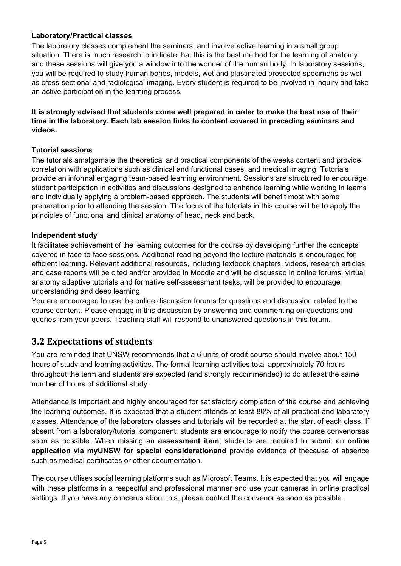### **Laboratory/Practical classes**

The laboratory classes complement the seminars, and involve active learning in a small group situation. There is much research to indicate that this is the best method for the learning of anatomy and these sessions will give you a window into the wonder of the human body. In laboratory sessions, you will be required to study human bones, models, wet and plastinated prosected specimens as well as cross-sectional and radiological imaging. Every student is required to be involved in inquiry and take an active participation in the learning process.

### **It is strongly advised that students come well prepared in order to make the best use of their time in the laboratory. Each lab session links to content covered in preceding seminars and videos.**

### **Tutorial sessions**

The tutorials amalgamate the theoretical and practical components of the weeks content and provide correlation with applications such as clinical and functional cases, and medical imaging. Tutorials provide an informal engaging team-based learning environment. Sessions are structured to encourage student participation in activities and discussions designed to enhance learning while working in teams and individually applying a problem-based approach. The students will benefit most with some preparation prior to attending the session. The focus of the tutorials in this course will be to apply the principles of functional and clinical anatomy of head, neck and back.

### **Independent study**

It facilitates achievement of the learning outcomes for the course by developing further the concepts covered in face-to-face sessions. Additional reading beyond the lecture materials is encouraged for efficient learning. Relevant additional resources, including textbook chapters, videos, research articles and case reports will be cited and/or provided in Moodle and will be discussed in online forums, virtual anatomy adaptive tutorials and formative self-assessment tasks, will be provided to encourage understanding and deep learning.

You are encouraged to use the online discussion forums for questions and discussion related to the course content. Please engage in this discussion by answering and commenting on questions and queries from your peers. Teaching staff will respond to unanswered questions in this forum.

### <span id="page-4-0"></span>**3.2 Expectations of students**

You are reminded that UNSW recommends that a 6 units-of-credit course should involve about 150 hours of study and learning activities. The formal learning activities total approximately 70 hours throughout the term and students are expected (and strongly recommended) to do at least the same number of hours of additional study.

Attendance is important and highly encouraged for satisfactory completion of the course and achieving the learning outcomes. It is expected that a student attends at least 80% of all practical and laboratory classes. Attendance of the laboratory classes and tutorials will be recorded at the start of each class. If absent from a laboratory/tutorial component, students are encourage to notify the course convenorsas soon as possible. When missing an **assessment item**, students are required to submit an **online application via myUNSW for special considerationand** provide evidence of thecause of absence such as medical certificates or other documentation.

The course utilises social learning platforms such as Microsoft Teams. It is expected that you will engage with these platforms in a respectful and professional manner and use your cameras in online practical settings. If you have any concerns about this, please contact the convenor as soon as possible.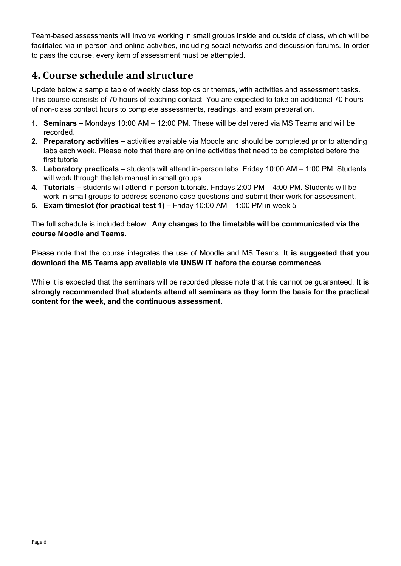Team-based assessments will involve working in small groups inside and outside of class, which will be facilitated via in-person and online activities, including social networks and discussion forums. In order to pass the course, every item of assessment must be attempted.

# <span id="page-5-0"></span>**4. Course schedule and structure**

Update below a sample table of weekly class topics or themes, with activities and assessment tasks. This course consists of 70 hours of teaching contact. You are expected to take an additional 70 hours of non-class contact hours to complete assessments, readings, and exam preparation.

- **1. Seminars –** Mondays 10:00 AM 12:00 PM. These will be delivered via MS Teams and will be recorded.
- **2. Preparatory activities –** activities available via Moodle and should be completed prior to attending labs each week. Please note that there are online activities that need to be completed before the first tutorial.
- **3. Laboratory practicals –** students will attend in-person labs. Friday 10:00 AM 1:00 PM. Students will work through the lab manual in small groups.
- **4. Tutorials –** students will attend in person tutorials. Fridays 2:00 PM 4:00 PM. Students will be work in small groups to address scenario case questions and submit their work for assessment.
- **5. Exam timeslot (for practical test 1) –** Friday 10:00 AM 1:00 PM in week 5

The full schedule is included below. **Any changes to the timetable will be communicated via the course Moodle and Teams.** 

Please note that the course integrates the use of Moodle and MS Teams. **It is suggested that you download the MS Teams app available via UNSW IT before the course commences**.

While it is expected that the seminars will be recorded please note that this cannot be guaranteed. **It is strongly recommended that students attend all seminars as they form the basis for the practical content for the week, and the continuous assessment.**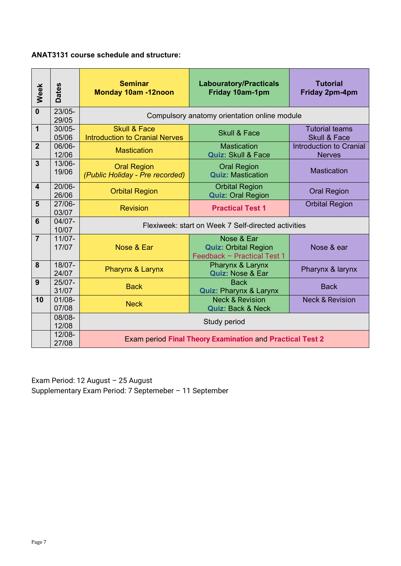### **ANAT3131 course schedule and structure:**

| Week             | <b>Dates</b>       | <b>Seminar</b><br><b>Monday 10am -12noon</b>                     | <b>Labouratory/Practicals</b><br>Friday 10am-1pm                         | <b>Tutorial</b><br><b>Friday 2pm-4pm</b>         |  |
|------------------|--------------------|------------------------------------------------------------------|--------------------------------------------------------------------------|--------------------------------------------------|--|
| $\mathbf{0}$     | $23/05 -$<br>29/05 |                                                                  | Compulsory anatomy orientation online module                             |                                                  |  |
| 1                | $30/05 -$<br>05/06 | <b>Skull &amp; Face</b><br><b>Introduction to Cranial Nerves</b> | Skull & Face                                                             | <b>Tutorial teams</b><br><b>Skull &amp; Face</b> |  |
| $\overline{2}$   | 06/06-<br>12/06    | <b>Mastication</b>                                               | <b>Mastication</b><br><b>Quiz: Skull &amp; Face</b>                      | <b>Introduction to Cranial</b><br><b>Nerves</b>  |  |
| $\overline{3}$   | 13/06-<br>19/06    | <b>Oral Region</b><br>(Public Holiday - Pre recorded)            | <b>Oral Region</b><br><b>Quiz: Mastication</b>                           | <b>Mastication</b>                               |  |
| $\boldsymbol{4}$ | 20/06-<br>26/06    | <b>Orbital Region</b>                                            | <b>Orbital Region</b><br><b>Quiz: Oral Region</b>                        | <b>Oral Region</b>                               |  |
| 5                | 27/06-<br>03/07    | <b>Revision</b>                                                  | <b>Practical Test 1</b>                                                  | <b>Orbital Region</b>                            |  |
| 6                | $04/07 -$<br>10/07 | Flexiweek: start on Week 7 Self-directed activities              |                                                                          |                                                  |  |
| $\overline{7}$   | $11/07 -$<br>17/07 | Nose & Ear                                                       | Nose & Ear<br><b>Quiz: Orbital Region</b><br>Feedback - Practical Test 1 | Nose & ear                                       |  |
| 8                | 18/07-<br>24/07    | Pharynx & Larynx                                                 | Pharynx & Larynx<br><b>Quiz: Nose &amp; Ear</b>                          | Pharynx & larynx                                 |  |
| 9                | $25/07 -$<br>31/07 | <b>Back</b>                                                      | <b>Back</b><br><b>Quiz: Pharynx &amp; Larynx</b>                         | <b>Back</b>                                      |  |
| 10               | $01/08 -$<br>07/08 | <b>Neck</b>                                                      | <b>Neck &amp; Revision</b><br><b>Quiz: Back &amp; Neck</b>               | <b>Neck &amp; Revision</b>                       |  |
|                  | 08/08-<br>12/08    | Study period                                                     |                                                                          |                                                  |  |
|                  | $12/08 -$<br>27/08 | <b>Exam period Final Theory Examination and Practical Test 2</b> |                                                                          |                                                  |  |

Exam Period: 12 August – 25 August Supplementary Exam Period: 7 Septemeber – 11 September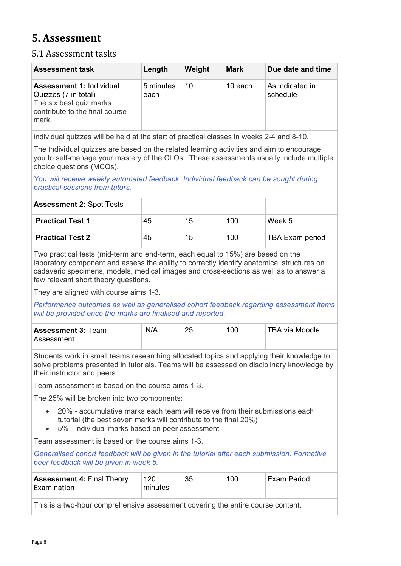# <span id="page-7-0"></span>**5. Assessment**

### <span id="page-7-1"></span>5.1 Assessment tasks

| <b>Assessment task</b>                                                                                                        | Length            | Weight | <b>Mark</b> | Due date and time           |
|-------------------------------------------------------------------------------------------------------------------------------|-------------------|--------|-------------|-----------------------------|
| <b>Assessment 1: Individual</b><br>Quizzes (7 in total)<br>The six best quiz marks<br>contribute to the final course<br>mark. | 5 minutes<br>each | 10     | 10 each     | As indicated in<br>schedule |

Individual quizzes will be held at the start of practical classes in weeks 2-4 and 8-10.

The Individual quizzes are based on the related learning activities and aim to encourage you to self-manage your mastery of the CLOs. These assessments usually include multiple choice questions (MCQs).

*You will receive weekly automated feedback. Individual feedback can be sought during practical sessions from tutors.*

| <b>Assessment 2: Spot Tests</b> |    |    |     |                        |
|---------------------------------|----|----|-----|------------------------|
| <b>Practical Test 1</b>         | 45 | 15 | 100 | Week 5                 |
| <b>Practical Test 2</b>         | 45 | 15 | 100 | <b>TBA Exam period</b> |

Two practical tests (mid-term and end-term, each equal to 15%) are based on the laboratory component and assess the ability to correctly identify anatomical structures on cadaveric specimens, models, medical images and cross-sections as well as to answer a few relevant short theory questions.

They are aligned with course aims 1-3.

*Performance outcomes as well as generalised cohort feedback regarding assessment items will be provided once the marks are finalised and reported.*

| <b>Assessment 3: Team</b> | N/A | つに | 10 <sub>C</sub> | TBA via Moodle |
|---------------------------|-----|----|-----------------|----------------|
| Assessment                |     |    |                 |                |

Students work in small teams researching allocated topics and applying their knowledge to solve problems presented in tutorials. Teams will be assessed on disciplinary knowledge by their instructor and peers.

Team assessment is based on the course aims 1-3.

The 25% will be broken into two components:

- 20% accumulative marks each team will receive from their submissions each tutorial (the best seven marks will contribute to the final 20%)
- 5% individual marks based on peer assessment

Team assessment is based on the course aims 1-3.

*Generalised cohort feedback will be given in the tutorial after each submission. Formative peer feedback will be given in week 5.* 

| <b>Assessment 4: Final Theory</b><br>$\mathsf{Examination}$ | 120<br>minutes | 35 | 100 | Exam Period |
|-------------------------------------------------------------|----------------|----|-----|-------------|
|                                                             |                |    |     |             |

This is a two-hour comprehensive assessment covering the entire course content.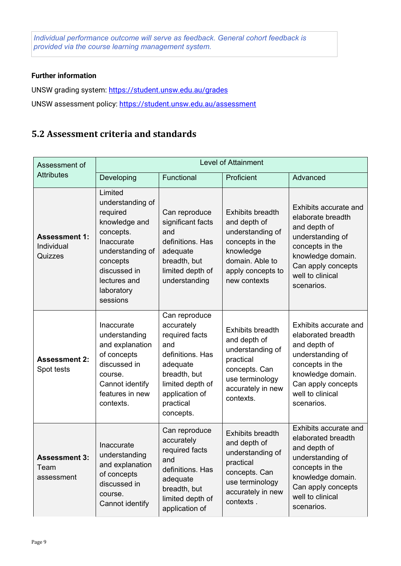*Individual performance outcome will serve as feedback. General cohort feedback is provided via the course learning management system.*

### **Further information**

UNSW grading system:<https://student.unsw.edu.au/grades> UNSW assessment policy:<https://student.unsw.edu.au/assessment>

### <span id="page-8-0"></span>**5.2 Assessment criteria and standards**

| Assessment of                                 | <b>Level of Attainment</b>                                                                                                                                                    |                                                                                                                                                                      |                                                                                                                                                     |                                                                                                                                                                                 |
|-----------------------------------------------|-------------------------------------------------------------------------------------------------------------------------------------------------------------------------------|----------------------------------------------------------------------------------------------------------------------------------------------------------------------|-----------------------------------------------------------------------------------------------------------------------------------------------------|---------------------------------------------------------------------------------------------------------------------------------------------------------------------------------|
| <b>Attributes</b>                             | Developing                                                                                                                                                                    | Functional                                                                                                                                                           | Proficient                                                                                                                                          | Advanced                                                                                                                                                                        |
| <b>Assessment 1:</b><br>Individual<br>Quizzes | Limited<br>understanding of<br>required<br>knowledge and<br>concepts.<br>Inaccurate<br>understanding of<br>concepts<br>discussed in<br>lectures and<br>laboratory<br>sessions | Can reproduce<br>significant facts<br>and<br>definitions. Has<br>adequate<br>breadth, but<br>limited depth of<br>understanding                                       | <b>Exhibits breadth</b><br>and depth of<br>understanding of<br>concepts in the<br>knowledge<br>domain. Able to<br>apply concepts to<br>new contexts | Exhibits accurate and<br>elaborate breadth<br>and depth of<br>understanding of<br>concepts in the<br>knowledge domain.<br>Can apply concepts<br>well to clinical<br>scenarios.  |
| <b>Assessment 2:</b><br>Spot tests            | Inaccurate<br>understanding<br>and explanation<br>of concepts<br>discussed in<br>course.<br>Cannot identify<br>features in new<br>contexts.                                   | Can reproduce<br>accurately<br>required facts<br>and<br>definitions. Has<br>adequate<br>breadth, but<br>limited depth of<br>application of<br>practical<br>concepts. | <b>Exhibits breadth</b><br>and depth of<br>understanding of<br>practical<br>concepts. Can<br>use terminology<br>accurately in new<br>contexts.      | Exhibits accurate and<br>elaborated breadth<br>and depth of<br>understanding of<br>concepts in the<br>knowledge domain.<br>Can apply concepts<br>well to clinical<br>scenarios. |
| <b>Assessment 3:</b><br>Team<br>assessment    | Inaccurate<br>understanding<br>and explanation<br>of concepts<br>discussed in<br>course.<br>Cannot identify                                                                   | Can reproduce<br>accurately<br>required facts<br>and<br>definitions. Has<br>adequate<br>breadth, but<br>limited depth of<br>application of                           | <b>Exhibits breadth</b><br>and depth of<br>understanding of<br>practical<br>concepts. Can<br>use terminology<br>accurately in new<br>contexts.      | Exhibits accurate and<br>elaborated breadth<br>and depth of<br>understanding of<br>concepts in the<br>knowledge domain.<br>Can apply concepts<br>well to clinical<br>scenarios. |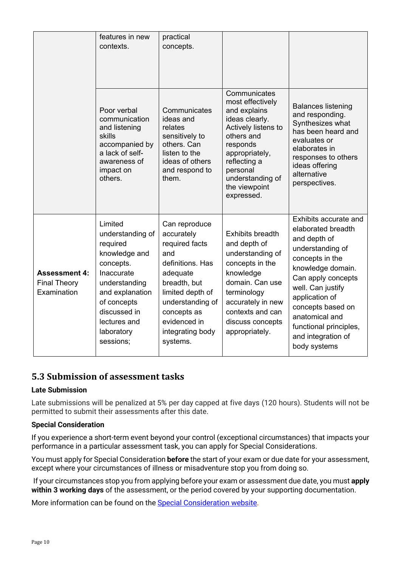|                                                            | features in new<br>contexts.                                                                                                                                                                      | practical<br>concepts.                                                                                                                                                                                      |                                                                                                                                                                                                                      |                                                                                                                                                                                                                                                                                             |
|------------------------------------------------------------|---------------------------------------------------------------------------------------------------------------------------------------------------------------------------------------------------|-------------------------------------------------------------------------------------------------------------------------------------------------------------------------------------------------------------|----------------------------------------------------------------------------------------------------------------------------------------------------------------------------------------------------------------------|---------------------------------------------------------------------------------------------------------------------------------------------------------------------------------------------------------------------------------------------------------------------------------------------|
|                                                            | Poor verbal<br>communication<br>and listening<br>skills<br>accompanied by<br>a lack of self-<br>awareness of<br>impact on<br>others.                                                              | Communicates<br>ideas and<br>relates<br>sensitively to<br>others. Can<br>listen to the<br>ideas of others<br>and respond to<br>them.                                                                        | Communicates<br>most effectively<br>and explains<br>ideas clearly.<br>Actively listens to<br>others and<br>responds<br>appropriately,<br>reflecting a<br>personal<br>understanding of<br>the viewpoint<br>expressed. | <b>Balances listening</b><br>and responding.<br>Synthesizes what<br>has been heard and<br>evaluates or<br>elaborates in<br>responses to others<br>ideas offering<br>alternative<br>perspectives.                                                                                            |
| <b>Assessment 4:</b><br><b>Final Theory</b><br>Examination | Limited<br>understanding of<br>required<br>knowledge and<br>concepts.<br>Inaccurate<br>understanding<br>and explanation<br>of concepts<br>discussed in<br>lectures and<br>laboratory<br>sessions; | Can reproduce<br>accurately<br>required facts<br>and<br>definitions. Has<br>adequate<br>breadth, but<br>limited depth of<br>understanding of<br>concepts as<br>evidenced in<br>integrating body<br>systems. | <b>Exhibits breadth</b><br>and depth of<br>understanding of<br>concepts in the<br>knowledge<br>domain. Can use<br>terminology<br>accurately in new<br>contexts and can<br>discuss concepts<br>appropriately.         | Exhibits accurate and<br>elaborated breadth<br>and depth of<br>understanding of<br>concepts in the<br>knowledge domain.<br>Can apply concepts<br>well. Can justify<br>application of<br>concepts based on<br>anatomical and<br>functional principles,<br>and integration of<br>body systems |

### <span id="page-9-0"></span>**5.3 Submission of assessment tasks**

### **Late Submission**

Late submissions will be penalized at 5% per day capped at five days (120 hours). Students will not be permitted to submit their assessments after this date.

### **Special Consideration**

If you experience a short-term event beyond your control (exceptional circumstances) that impacts your performance in a particular assessment task, you can apply for Special Considerations.

You must apply for Special Consideration **before** the start of your exam or due date for your assessment, except where your circumstances of illness or misadventure stop you from doing so.

If your circumstances stop you from applying before your exam or assessment due date, you must **apply within 3 working days** of the assessment, or the period covered by your supporting documentation.

More information can be found on the [Special Consideration website.](https://www.student.unsw.edu.au/special-consideration)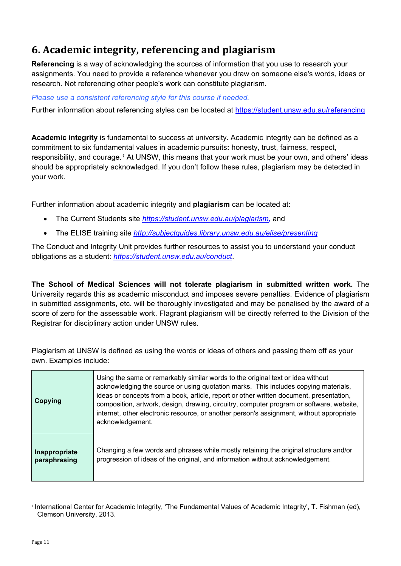# <span id="page-10-0"></span>**6. Academic integrity, referencing and plagiarism**

**Referencing** is a way of acknowledging the sources of information that you use to research your assignments. You need to provide a reference whenever you draw on someone else's words, ideas or research. Not referencing other people's work can constitute plagiarism.

*Please use a consistent referencing style for this course if needed.*

Further information about referencing styles can be located at<https://student.unsw.edu.au/referencing>

**Academic integrity** is fundamental to success at university. Academic integrity can be defined as a commitment to six fundamental values in academic pursuits**:** honesty, trust, fairness, respect, responsibility, and courage.*[1](#page-10-1)* At UNSW, this means that your work must be your own, and others' ideas should be appropriately acknowledged. If you don't follow these rules, plagiarism may be detected in your work.

Further information about academic integrity and **plagiarism** can be located at:

- The Current Students site *<https://student.unsw.edu.au/plagiarism>***,** and
- The ELISE training site *<http://subjectguides.library.unsw.edu.au/elise/presenting>*

The Conduct and Integrity Unit provides further resources to assist you to understand your conduct obligations as a student: *<https://student.unsw.edu.au/conduct>*.

**The School of Medical Sciences will not tolerate plagiarism in submitted written work.** The University regards this as academic misconduct and imposes severe penalties. Evidence of plagiarism in submitted assignments, etc. will be thoroughly investigated and may be penalised by the award of a score of zero for the assessable work. Flagrant plagiarism will be directly referred to the Division of the Registrar for disciplinary action under UNSW rules.

Plagiarism at UNSW is defined as using the words or ideas of others and passing them off as your own. Examples include:

| Copying       | Using the same or remarkably similar words to the original text or idea without<br>acknowledging the source or using quotation marks. This includes copying materials,<br>ideas or concepts from a book, article, report or other written document, presentation,<br>composition, artwork, design, drawing, circuitry, computer program or software, website,<br>internet, other electronic resource, or another person's assignment, without appropriate<br>acknowledgement. |
|---------------|-------------------------------------------------------------------------------------------------------------------------------------------------------------------------------------------------------------------------------------------------------------------------------------------------------------------------------------------------------------------------------------------------------------------------------------------------------------------------------|
| Inappropriate | Changing a few words and phrases while mostly retaining the original structure and/or                                                                                                                                                                                                                                                                                                                                                                                         |
| paraphrasing  | progression of ideas of the original, and information without acknowledgement.                                                                                                                                                                                                                                                                                                                                                                                                |

<span id="page-10-1"></span><sup>1</sup> International Center for Academic Integrity, 'The Fundamental Values of Academic Integrity', T. Fishman (ed), Clemson University, 2013.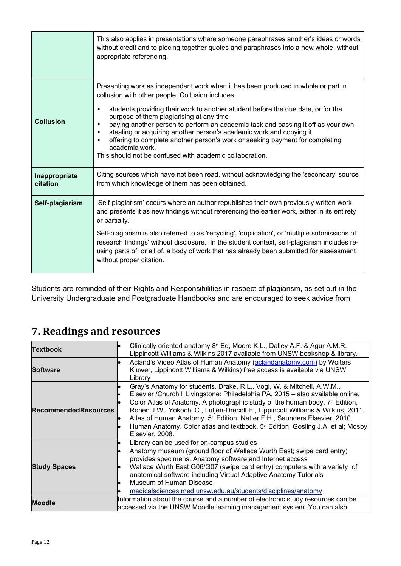|                           | This also applies in presentations where someone paraphrases another's ideas or words<br>without credit and to piecing together quotes and paraphrases into a new whole, without<br>appropriate referencing.                                                                                                                                                                                                                                                                                                                                                                                            |
|---------------------------|---------------------------------------------------------------------------------------------------------------------------------------------------------------------------------------------------------------------------------------------------------------------------------------------------------------------------------------------------------------------------------------------------------------------------------------------------------------------------------------------------------------------------------------------------------------------------------------------------------|
| <b>Collusion</b>          | Presenting work as independent work when it has been produced in whole or part in<br>collusion with other people. Collusion includes<br>students providing their work to another student before the due date, or for the<br>purpose of them plagiarising at any time<br>paying another person to perform an academic task and passing it off as your own<br>stealing or acquiring another person's academic work and copying it<br>٠<br>offering to complete another person's work or seeking payment for completing<br>٠<br>academic work.<br>This should not be confused with academic collaboration. |
| Inappropriate<br>citation | Citing sources which have not been read, without acknowledging the 'secondary' source<br>from which knowledge of them has been obtained.                                                                                                                                                                                                                                                                                                                                                                                                                                                                |
| Self-plagiarism           | 'Self-plagiarism' occurs where an author republishes their own previously written work<br>and presents it as new findings without referencing the earlier work, either in its entirety<br>or partially.<br>Self-plagiarism is also referred to as 'recycling', 'duplication', or 'multiple submissions of<br>research findings' without disclosure. In the student context, self-plagiarism includes re-<br>using parts of, or all of, a body of work that has already been submitted for assessment<br>without proper citation.                                                                        |

Students are reminded of their Rights and Responsibilities in respect of plagiarism, as set out in the University Undergraduate and Postgraduate Handbooks and are encouraged to seek advice from

# <span id="page-11-0"></span>**7. Readings and resources**

| <b>Textbook</b>             | Clinically oriented anatomy 8 <sup>th</sup> Ed, Moore K.L., Dalley A.F. & Agur A.M.R.<br>Lippincott Williams & Wilkins 2017 available from UNSW bookshop & library.                                                                                                                                                                                                                                                                                                                                                                                  |  |  |
|-----------------------------|------------------------------------------------------------------------------------------------------------------------------------------------------------------------------------------------------------------------------------------------------------------------------------------------------------------------------------------------------------------------------------------------------------------------------------------------------------------------------------------------------------------------------------------------------|--|--|
| <b>Software</b>             | Acland's Video Atlas of Human Anatomy (aclandanatomy.com) by Wolters<br>Kluwer, Lippincott Williams & Wilkins) free access is available via UNSW<br>Library                                                                                                                                                                                                                                                                                                                                                                                          |  |  |
| <b>RecommendedResources</b> | Gray's Anatomy for students. Drake, R.L., Vogl, W. & Mitchell, A.W.M.,<br>Elsevier /Churchill Livingstone: Philadelphia PA, 2015 - also available online.<br>Color Atlas of Anatomy. A photographic study of the human body. 7 <sup>th</sup> Edition,<br>Rohen J.W., Yokochi C., Lutjen-Drecoll E., Lippincott Williams & Wilkins, 2011.<br>Atlas of Human Anatomy. 5 <sup>th</sup> Edition. Netter F.H., Saunders Elsevier, 2010.<br>Human Anatomy. Color atlas and textbook. 5 <sup>th</sup> Edition, Gosling J.A. et al; Mosby<br>Elsevier, 2008. |  |  |
| <b>Study Spaces</b>         | Library can be used for on-campus studies<br>Anatomy museum (ground floor of Wallace Wurth East; swipe card entry)<br>provides specimens, Anatomy software and Internet access<br>Wallace Wurth East G06/G07 (swipe card entry) computers with a variety of<br>anatomical software including Virtual Adaptive Anatomy Tutorials<br>Museum of Human Disease<br>medicalsciences.med.unsw.edu.au/students/disciplines/anatomy                                                                                                                           |  |  |
| <b>Moodle</b>               | Information about the course and a number of electronic study resources can be<br>accessed via the UNSW Moodle learning management system. You can also                                                                                                                                                                                                                                                                                                                                                                                              |  |  |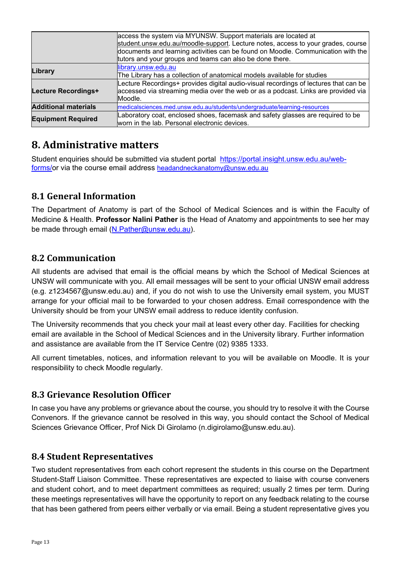|                             | access the system via MYUNSW. Support materials are located at<br>student.unsw.edu.au/moodle-support. Lecture notes, access to your grades, course<br>documents and learning activities can be found on Moodle. Communication with the<br>tutors and your groups and teams can also be done there. |
|-----------------------------|----------------------------------------------------------------------------------------------------------------------------------------------------------------------------------------------------------------------------------------------------------------------------------------------------|
| Library                     | library.unsw.edu.au<br>The Library has a collection of anatomical models available for studies                                                                                                                                                                                                     |
| Lecture Recordings+         | Lecture Recordings+ provides digital audio-visual recordings of lectures that can be<br>accessed via streaming media over the web or as a podcast. Links are provided via<br>Moodle.                                                                                                               |
| <b>Additional materials</b> | medicalsciences.med.unsw.edu.au/students/undergraduate/learning-resources                                                                                                                                                                                                                          |
| <b>Equipment Required</b>   | Laboratory coat, enclosed shoes, facemask and safety glasses are required to be<br>worn in the lab. Personal electronic devices.                                                                                                                                                                   |

# <span id="page-12-0"></span>**8. Administrative matters**

Student enquiries should be submitted via student portal [https://portal.insight.unsw.edu.au/web](https://portal.insight.unsw.edu.au/web-forms/)[forms/o](https://portal.insight.unsw.edu.au/web-forms/)r via the course email address [headandneckanatomy@unsw.edu.au](mailto:headandneckanatomy@unsw.edu.au)

### <span id="page-12-1"></span>**8.1 General Information**

The Department of Anatomy is part of the School of Medical Sciences and is within the Faculty of Medicine & Health. **Professor Nalini Pather** is the Head of Anatomy and appointments to see her may be made through email [\(N.Pather@unsw.edu.au\)](mailto:N.Pather@unsw.edu.au).

### <span id="page-12-2"></span>**8.2 Communication**

All students are advised that email is the official means by which the School of Medical Sciences at UNSW will communicate with you. All email messages will be sent to your official UNSW email address (e.g. z1234567@unsw.edu.au) and, if you do not wish to use the University email system, you MUST arrange for your official mail to be forwarded to your chosen address. Email correspondence with the University should be from your UNSW email address to reduce identity confusion.

The University recommends that you check your mail at least every other day. Facilities for checking email are available in the School of Medical Sciences and in the University library. Further information and assistance are available from the [IT Service Centre](https://www.it.unsw.edu.au/students/index.html) (02) 9385 1333.

All current timetables, notices, and information relevant to you will be available on Moodle. It is your responsibility to check Moodle regularly.

### <span id="page-12-3"></span>**8.3 Grievance Resolution Officer**

In case you have any problems or grievance about the course, you should try to resolve it with the Course Convenors. If the grievance cannot be resolved in this way, you should contact the School of Medical Sciences Grievance Officer, Prof Nick Di Girolamo [\(n.digirolamo@unsw.edu.au\)](mailto:n.digirolamo@unsw.edu.au).

### <span id="page-12-4"></span>**8.4 Student Representatives**

Two student representatives from each cohort represent the students in this course on the Department Student-Staff Liaison Committee. These representatives are expected to liaise with course conveners and student cohort, and to meet department committees as required; usually 2 times per term. During these meetings representatives will have the opportunity to report on any feedback relating to the course that has been gathered from peers either verbally or via email. Being a student representative gives you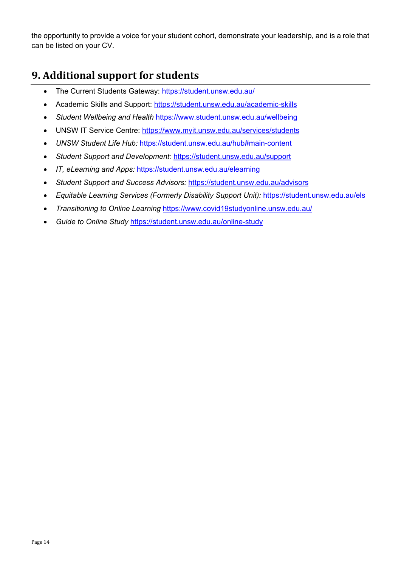the opportunity to provide a voice for your student cohort, demonstrate your leadership, and is a role that can be listed on your CV.

# <span id="page-13-0"></span>**9. Additional support for students**

- The Current Students Gateway:<https://student.unsw.edu.au/>
- Academic Skills and Support:<https://student.unsw.edu.au/academic-skills>
- *Student Wellbeing and Health* <https://www.student.unsw.edu.au/wellbeing>
- UNSW IT Service Centre:<https://www.myit.unsw.edu.au/services/students>
- *UNSW Student Life Hub:* <https://student.unsw.edu.au/hub#main-content>
- *Student Support and Development:* <https://student.unsw.edu.au/support>
- *IT, eLearning and Apps:* <https://student.unsw.edu.au/elearning>
- *Student Support and Success Advisors:* <https://student.unsw.edu.au/advisors>
- *Equitable Learning Services (Formerly Disability Support Unit):* <https://student.unsw.edu.au/els>
- *Transitioning to Online Learning* <https://www.covid19studyonline.unsw.edu.au/>
- *Guide to Online Study* <https://student.unsw.edu.au/online-study>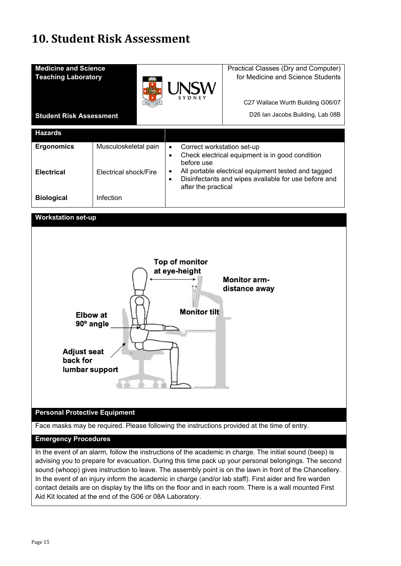# <span id="page-14-0"></span>**10. Student Risk Assessment**

| <b>Medicine and Science</b>    |                       |                                         | Practical Classes (Dry and Computer)                 |
|--------------------------------|-----------------------|-----------------------------------------|------------------------------------------------------|
| <b>Teaching Laboratory</b>     |                       |                                         | for Medicine and Science Students                    |
|                                |                       |                                         |                                                      |
|                                |                       |                                         | C27 Wallace Wurth Building G06/07                    |
| <b>Student Risk Assessment</b> |                       |                                         | D26 Ian Jacobs Building, Lab 08B                     |
| <b>Hazards</b>                 |                       |                                         |                                                      |
| <b>Ergonomics</b>              | Musculoskeletal pain  | Correct workstation set-up<br>$\bullet$ |                                                      |
|                                |                       | $\bullet$<br>before use                 | Check electrical equipment is in good condition      |
| <b>Electrical</b>              | Electrical shock/Fire | ٠                                       | All portable electrical equipment tested and tagged  |
|                                |                       | $\bullet$<br>after the practical        | Disinfectants and wipes available for use before and |
| <b>Biological</b>              | Infection             |                                         |                                                      |
|                                |                       |                                         |                                                      |
| <b>Workstation set-up</b>      |                       |                                         |                                                      |
|                                |                       |                                         |                                                      |
|                                |                       |                                         |                                                      |
|                                |                       | <b>Top of monitor</b>                   |                                                      |
|                                |                       | at eye-height                           |                                                      |
|                                |                       |                                         | <b>Monitor arm-</b>                                  |
|                                |                       |                                         | distance away                                        |

**Monitor tilt** 



**Elbow at** 90° angle

**Adjust seat** back for

lumbar support

Face masks may be required. Please following the instructions provided at the time of entry.

ħ

#### **Emergency Procedures**

In the event of an alarm, follow the instructions of the academic in charge. The initial sound (beep) is advising you to prepare for evacuation. During this time pack up your personal belongings. The second sound (whoop) gives instruction to leave. The assembly point is on the lawn in front of the Chancellery. In the event of an injury inform the academic in charge (and/or lab staff). First aider and fire warden contact details are on display by the lifts on the floor and in each room. There is a wall mounted First Aid Kit located at the end of the G06 or 08A Laboratory.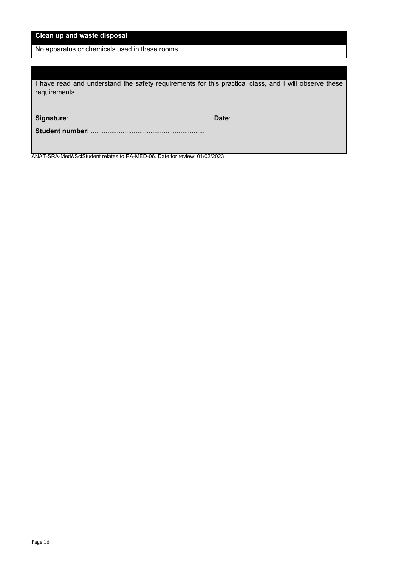No apparatus or chemicals used in these rooms.

| I have read and understand the safety requirements for this practical class, and I will observe these |  |
|-------------------------------------------------------------------------------------------------------|--|
| requirements.                                                                                         |  |
|                                                                                                       |  |
|                                                                                                       |  |
|                                                                                                       |  |

ANAT-SRA-Med&SciStudent relates to RA-MED-06. Date for review: 01/02/2023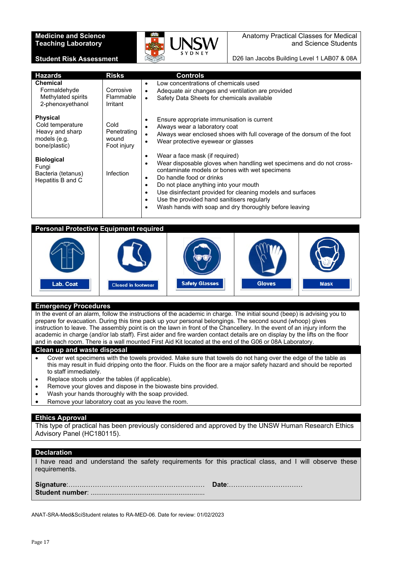#### **Medicine and Science Teaching Laboratory**

**Student Risk Assessment**



Anatomy Practical Classes for Medical and Science Students

D26 Ian Jacobs Building Level 1 LAB07 & 08A

| <b>Hazards</b>                                                                          | <b>Risks</b>                                | <b>Controls</b>                                                                                                                                                                                                                                                                                                                                                                                                                                        |
|-----------------------------------------------------------------------------------------|---------------------------------------------|--------------------------------------------------------------------------------------------------------------------------------------------------------------------------------------------------------------------------------------------------------------------------------------------------------------------------------------------------------------------------------------------------------------------------------------------------------|
| <b>Chemical</b><br>Formaldehyde<br>Methylated spirits<br>2-phenoxyethanol               | Corrosive<br>Flammable<br>Irritant          | Low concentrations of chemicals used<br>٠<br>Adequate air changes and ventilation are provided<br>$\bullet$<br>Safety Data Sheets for chemicals available<br>$\bullet$                                                                                                                                                                                                                                                                                 |
| <b>Physical</b><br>Cold temperature<br>Heavy and sharp<br>models (e.g.<br>bone/plastic) | Cold<br>Penetrating<br>wound<br>Foot injury | Ensure appropriate immunisation is current<br>٠<br>Always wear a laboratory coat<br>٠<br>Always wear enclosed shoes with full coverage of the dorsum of the foot<br>$\bullet$<br>Wear protective eyewear or glasses<br>٠                                                                                                                                                                                                                               |
| <b>Biological</b><br>Fungi<br>Bacteria (tetanus)<br>Hepatitis B and C                   | Infection                                   | Wear a face mask (if required)<br>٠<br>Wear disposable gloves when handling wet specimens and do not cross-<br>$\bullet$<br>contaminate models or bones with wet specimens<br>Do handle food or drinks<br>٠<br>Do not place anything into your mouth<br>٠<br>Use disinfectant provided for cleaning models and surfaces<br>٠<br>Use the provided hand sanitisers regularly<br>$\bullet$<br>Wash hands with soap and dry thoroughly before leaving<br>٠ |

#### **Personal Protective Equipment required**



#### **Emergency Procedures**

In the event of an alarm, follow the instructions of the academic in charge. The initial sound (beep) is advising you to prepare for evacuation. During this time pack up your personal belongings. The second sound (whoop) gives instruction to leave. The assembly point is on the lawn in front of the Chancellery. In the event of an injury inform the academic in charge (and/or lab staff). First aider and fire warden contact details are on display by the lifts on the floor and in each room. There is a wall mounted First Aid Kit located at the end of the G06 or 08A Laboratory.

#### **Clean up and waste disposal**

- Cover wet specimens with the towels provided. Make sure that towels do not hang over the edge of the table as this may result in fluid dripping onto the floor. Fluids on the floor are a major safety hazard and should be reported to staff immediately.
- Replace stools under the tables (if applicable).
- Remove your gloves and dispose in the biowaste bins provided.
- Wash your hands thoroughly with the soap provided.
- Remove your laboratory coat as you leave the room.

#### **Ethics Approval**

This type of practical has been previously considered and approved by the UNSW Human Research Ethics Advisory Panel (HC180115).

### **Declaration**

| I have read and understand the safety requirements for this practical class, and I will observe these<br>reguirements. |  |  |  |
|------------------------------------------------------------------------------------------------------------------------|--|--|--|
|                                                                                                                        |  |  |  |

ANAT-SRA-Med&SciStudent relates to RA-MED-06. Date for review: 01/02/2023

**Student number**: .............................................................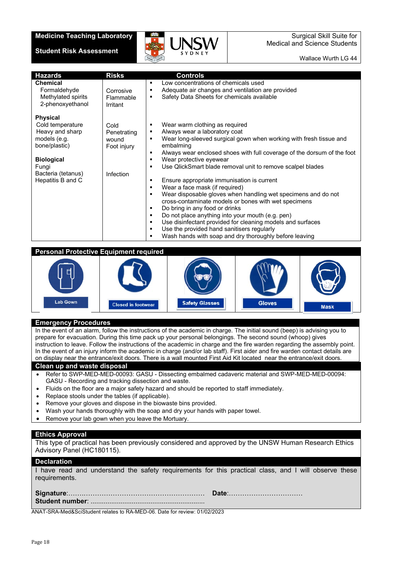#### **Medicine Teaching Laboratory**

#### **Student Risk Assessment**



Surgical Skill Suite for Medical and Science Students

Wallace Wurth LG 44

| <b>Hazards</b><br><b>Chemical</b><br>Formaldehyde<br>Methylated spirits<br>2-phenoxyethanol                                                                      | <b>Risks</b><br>Corrosive<br>Flammable<br>Irritant       | <b>Controls</b><br>Low concentrations of chemicals used<br>٠<br>Adequate air changes and ventilation are provided<br>٠<br>Safety Data Sheets for chemicals available<br>٠                                                                                                                                                                                                                                                                                                                                                                                                                                                                                                                                                                                                                                                                                         |
|------------------------------------------------------------------------------------------------------------------------------------------------------------------|----------------------------------------------------------|-------------------------------------------------------------------------------------------------------------------------------------------------------------------------------------------------------------------------------------------------------------------------------------------------------------------------------------------------------------------------------------------------------------------------------------------------------------------------------------------------------------------------------------------------------------------------------------------------------------------------------------------------------------------------------------------------------------------------------------------------------------------------------------------------------------------------------------------------------------------|
| <b>Physical</b><br>Cold temperature<br>Heavy and sharp<br>models (e.g.<br>bone/plastic)<br><b>Biological</b><br>Fungi<br>Bacteria (tetanus)<br>Hepatitis B and C | Cold<br>Penetrating<br>wound<br>Foot injury<br>Infection | Wear warm clothing as required<br>٠<br>Always wear a laboratory coat<br>٠<br>Wear long-sleeved surgical gown when working with fresh tissue and<br>٠<br>embalming<br>Always wear enclosed shoes with full coverage of the dorsum of the foot<br>٠<br>Wear protective eyewear<br>٠<br>Use QlickSmart blade removal unit to remove scalpel blades<br>٠<br>Ensure appropriate immunisation is current<br>٠<br>Wear a face mask (if required)<br>٠<br>Wear disposable gloves when handling wet specimens and do not<br>٠<br>cross-contaminate models or bones with wet specimens<br>Do bring in any food or drinks<br>٠<br>Do not place anything into your mouth (e.g. pen)<br>٠<br>Use disinfectant provided for cleaning models and surfaces<br>٠<br>Use the provided hand sanitisers regularly<br>٠<br>Wash hands with soap and dry thoroughly before leaving<br>٠ |

#### **Personal Protective Equipment required**



#### **Emergency Procedures**

In the event of an alarm, follow the instructions of the academic in charge. The initial sound (beep) is advising you to prepare for evacuation. During this time pack up your personal belongings. The second sound (whoop) gives instruction to leave. Follow the instructions of the academic in charge and the fire warden regarding the assembly point. In the event of an injury inform the academic in charge (and/or lab staff). First aider and fire warden contact details are on display near the entrance/exit doors. There is a wall mounted First Aid Kit located near the entrance/exit doors.

#### **Clean up and waste disposal**

- Refer to SWP-MED-MED-00093: GASU Dissecting embalmed cadaveric material and SWP-MED-MED-00094: GASU - Recording and tracking dissection and waste.
- Fluids on the floor are a major safety hazard and should be reported to staff immediately.
- Replace stools under the tables (if applicable).
- Remove your gloves and dispose in the biowaste bins provided.
- Wash your hands thoroughly with the soap and dry your hands with paper towel.
- Remove your lab gown when you leave the Mortuary.

#### **Ethics Approval**

This type of practical has been previously considered and approved by the UNSW Human Research Ethics Advisory Panel (HC180115).

#### **Declaration**

I have read and understand the safety requirements for this practical class, and I will observe these requirements.

ANAT-SRA-Med&SciStudent relates to RA-MED-06. Date for review: 01/02/2023